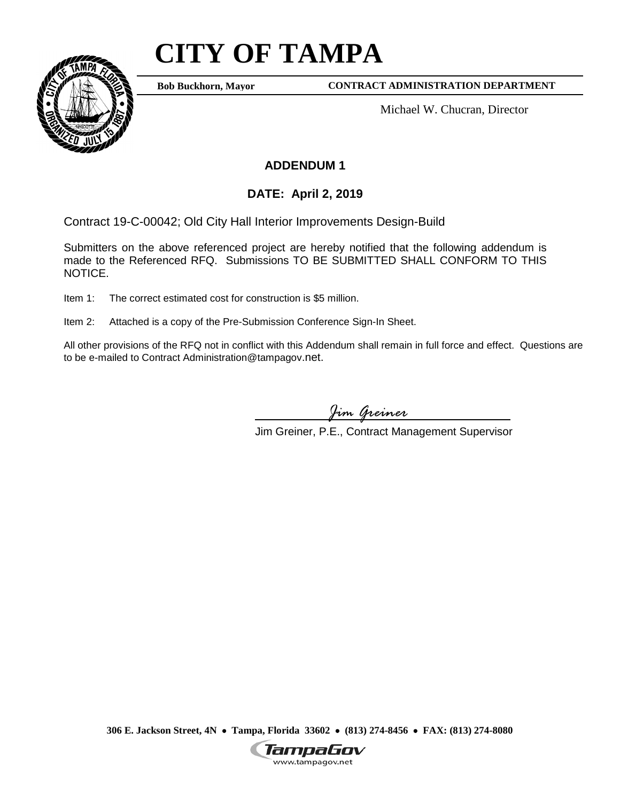## **CITY OF TAMPA**



**Bob Buckhorn, Mayor CONTRACT ADMINISTRATION DEPARTMENT** 

Michael W. Chucran, Director

## **ADDENDUM 1**

## **DATE: April 2, 2019**

Contract 19-C-00042; Old City Hall Interior Improvements Design-Build

Contract 19-C-00042; Old City Hall Interior Improvements Design-Build<br>Submitters on the above referenced project are hereby notified that the following addendum is made to the Referenced RFQ. Submissions TO BE SUBMITTED SHALL CONFORM TO THIS NOTICE.

Item 1: The correct estimated cost for construction is \$5 million.

Item 2: Attached is a copy of the Pre-Submission Conference Sign-In Sheet.

 All other provisions of the RFQ not in conflict with this Addendum shall remain in full force and effect. Questions are to be e-mailed to Contract Administration@tampagov.net.

*Jim Greiner* 

Jim Greiner, P.E., Contract Management Supervisor

 **306 E. Jackson Street, 4N** • **Tampa, Florida 33602** • **(813) 274-8456** • **FAX: (813) 274-8080** 

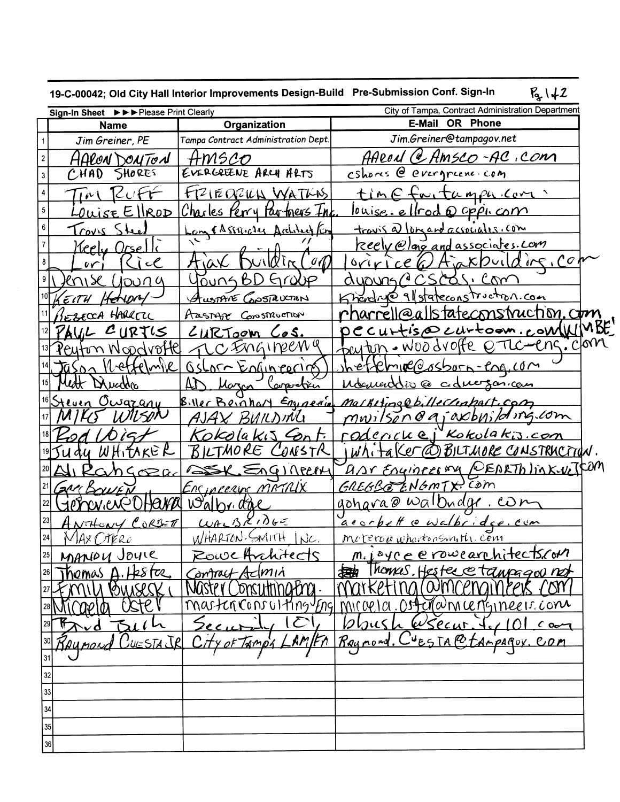|    |                                                                                 |                                     | 19-C-00042; Old City Hall Interior Improvements Design-Build Pre-Submission Conf. Sign-In<br>$B_{2}1+2$ |  |
|----|---------------------------------------------------------------------------------|-------------------------------------|---------------------------------------------------------------------------------------------------------|--|
|    | Sign-In Sheet $\triangleright\triangleright\triangleright$ Please Print Clearly |                                     | City of Tampa, Contract Administration Department                                                       |  |
|    | <b>Name</b>                                                                     | Organization                        | <b>OR Phone</b><br>E-Mail                                                                               |  |
|    | Jim Greiner, PE                                                                 | Tampa Contract Administration Dept. | Jim.Greiner@tampagov.net                                                                                |  |
|    | HARON DOUTON                                                                    | HMSCO                               | AARON (e Amsco-AC, con                                                                                  |  |
|    | <b>SHORES</b><br>CHAD                                                           | EVERGREENE ARCH ARTS                | cshores @ evergreene com                                                                                |  |
| 4  | 141                                                                             | FRIEORIUL WATHS                     | time fortumpa com                                                                                       |  |
| 5  | $E$ llrod<br>$\tilde{\lambda} S$ F.                                             | <u>Charles Perry Partners Inc</u>   | <u>louise ellrod</u> Q oppi com                                                                         |  |
| 6  | 2001                                                                            | Lam & A SERICALS Architect Kin      | travis a) longard associates. com                                                                       |  |
|    | Keely Orsel                                                                     |                                     | Reely @lang and associates. com                                                                         |  |
|    | $C$ i c $C$<br>$\mathsf{V}\mathsf{V}$                                           | $\mathscr{I}(\mathcal{O})$<br>٦۵    | Aaxpuilding, Com<br>$0$ $(4)$ $0$ $0$ $6$ $6$                                                           |  |
|    | $\ell$ nis $\ell$<br>1100 a                                                     | <u>Young BD Group</u>               | CSCOSICOM<br>auours/                                                                                    |  |
|    | HENDRY<br>$\epsilon$ it H                                                       | AustANE GOSTAUCTION                 | Kneed Ne 9/ stateconstruction.com                                                                       |  |
|    | EZECCA HARRETIC                                                                 | Austrize Construction               | <u>rharrell@allstateconstruction.c<del>t</del>m</u>                                                     |  |
|    | AUL CURTIS                                                                      | <u>CURTOOM COS.</u>                 | <u>pecurtise curtoon.com/WMBE</u>                                                                       |  |
|    | <u>Peyton Noodroffel</u>                                                        | C Ingineem q                        | baster. Woodvoffe encernicion                                                                           |  |
|    | Wettelmik<br><b>Jason</b>                                                       | OsLor Knain cering                  | hettelmine@osborn-eng.com                                                                               |  |
|    | lett Duction                                                                    | Marcon<br><u>Canavetric</u>         | Mounerodio @ cidnessancan                                                                               |  |
|    | <sup>16</sup> Steven Owazany                                                    | Biller Beinhart Engelerin           | <u>Markiting@billecriptort.com</u>                                                                      |  |
|    |                                                                                 | AJAX BUILDING                       | mwilson enjaxbyiding.com                                                                                |  |
|    |                                                                                 | Kokolakis Cont.                     | <u>roderickej Kokolakis.com</u>                                                                         |  |
|    | <i>AY WHITAKER</i>                                                              | BILTMORE<br>CONSTR                  | WhitaKer@BILThore CONSTRUCTION.                                                                         |  |
|    | <u>angoza</u>                                                                   | DEX EnGINPERY                       | <u>AAr Enginees my PEARTh link-ve TFOM</u>                                                              |  |
|    | $2$ M $\epsilon$ $K$<br>$\gamma$ UE $\widecheck{N}$                             | Encincerne METRIX                   | GREGBE ENGMTX. COM                                                                                      |  |
|    | HOWA N                                                                          | <u>Walbridge</u>                    | <u>gohara @ walbudge.com</u>                                                                            |  |
| 23 | ANTHONY CORBETT                                                                 | $W_{A}BX1065$                       | acorpett cowalbridge.com                                                                                |  |
| 24 | MAX OTERO                                                                       | WHARTON-SMITH INC.                  | Moteroa whartonsmith. Com                                                                               |  |
| 25 | MANOU Joure                                                                     | Rowe Anchitects                     | m. i oye e rowearchitectscom                                                                            |  |
| 26 | Themas $A.$ Heste $c$                                                           | Contract Admin                      | Thomas, Hester et anpagov not                                                                           |  |
|    | MIN POMSCSK                                                                     | NUSTEY Consulting Pro.              | COMICEMONIPER COM                                                                                       |  |
|    | CISTE<br>caela                                                                  |                                     | master Consulting Engl micrela. Ost inden centemper come                                                |  |
|    | $\Delta v d$ $\Delta t l$                                                       | 10<br>Securi                        | bbush Wsecur. To 101 can                                                                                |  |
|    | Que nond CuESTAJR                                                               | City of Tampy                       | <u>AM/FA Raymond. Cuesta@tampagox.com</u>                                                               |  |
| 31 |                                                                                 |                                     |                                                                                                         |  |
| 32 |                                                                                 |                                     |                                                                                                         |  |
| 33 |                                                                                 |                                     |                                                                                                         |  |
| 34 |                                                                                 |                                     |                                                                                                         |  |
| 35 |                                                                                 |                                     |                                                                                                         |  |
| 36 |                                                                                 |                                     |                                                                                                         |  |